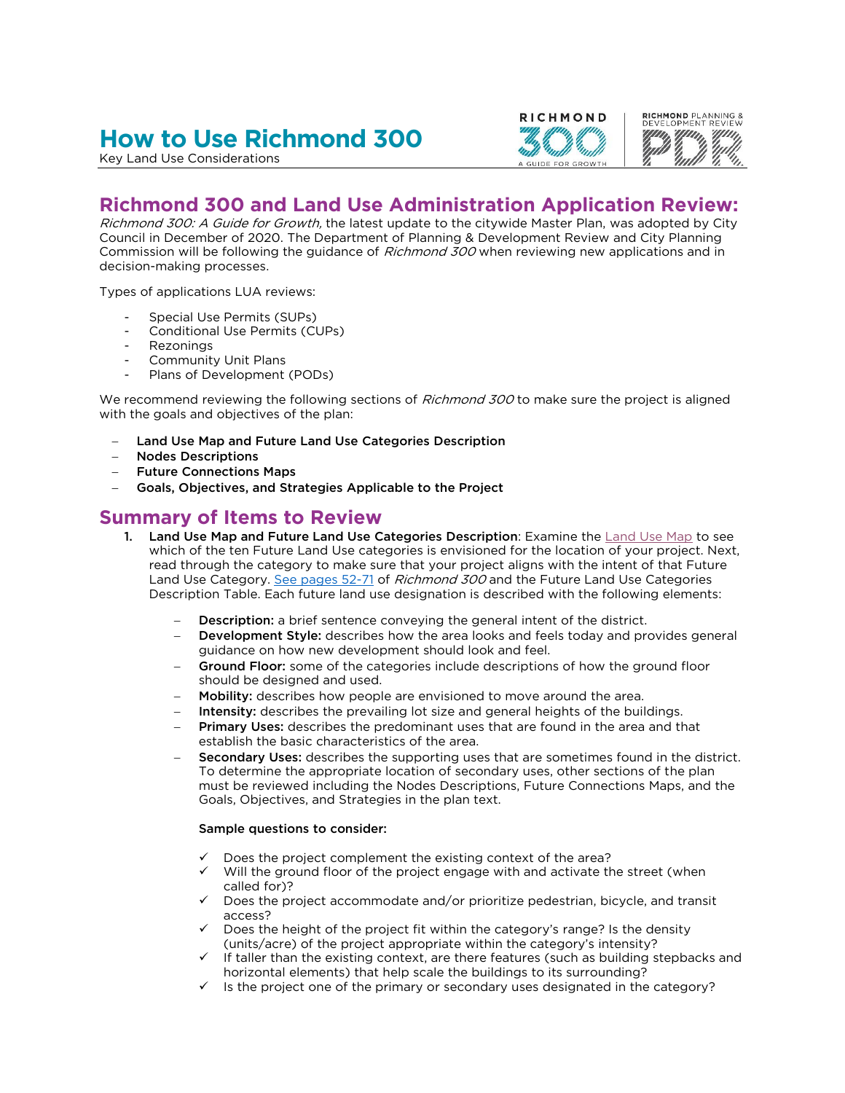# **How to Use Richmond 300**

Key Land Use Considerations



## **Richmond 300 and Land Use Administration Application Review:**

Richmond 300: A Guide for Growth, the latest update to the citywide Master Plan, was adopted by City Council in December of 2020. The Department of Planning & Development Review and City Planning Commission will be following the guidance of Richmond 300 when reviewing new applications and in decision-making processes.

Types of applications LUA reviews:

- Special Use Permits (SUPs)
- Conditional Use Permits (CUPs)
- Rezonings
- Community Unit Plans
- Plans of Development (PODs)

We recommend reviewing the following sections of Richmond 300 to make sure the project is aligned with the goals and objectives of the plan:

- Land Use Map and Future Land Use Categories Description
- Nodes Descriptions
- Future Connections Maps
- Goals, Objectives, and Strategies Applicable to the Project

### **Summary of Items to Review**

- 1. [Land Use Map](https://www.arcgis.com/home/webmap/viewer.html?webmap=27fd3df5199f469f872eb28647e47c02&extent=-77.558,37.4951,-77.3579,37.5759) and Future Land Use Categories Description: Examine the Land Use Map to see which of the ten Future Land Use categories is envisioned for the location of your project. Next, read through the category to make sure that your project aligns with the intent of that Future Land Use Category. [See pages 52-71](https://www.rva.gov/sites/default/files/2021-03/Future%20Land%20Use.pdf) of *Richmond 300* and the Future Land Use Categories Description Table. Each future land use designation is described with the following elements:
	- Description: a brief sentence conveying the general intent of the district.
	- Development Style: describes how the area looks and feels today and provides general guidance on how new development should look and feel.
	- Ground Floor: some of the categories include descriptions of how the ground floor should be designed and used.
	- Mobility: describes how people are envisioned to move around the area.
	- Intensity: describes the prevailing lot size and general heights of the buildings.
	- Primary Uses: describes the predominant uses that are found in the area and that establish the basic characteristics of the area.
	- Secondary Uses: describes the supporting uses that are sometimes found in the district. To determine the appropriate location of secondary uses, other sections of the plan must be reviewed including the Nodes Descriptions, Future Connections Maps, and the Goals, Objectives, and Strategies in the plan text.

#### Sample questions to consider:

- Does the project complement the existing context of the area?
- Will the ground floor of the project engage with and activate the street (when called for)?
- Does the project accommodate and/or prioritize pedestrian, bicycle, and transit access?
- Does the height of the project fit within the category's range? Is the density (units/acre) of the project appropriate within the category's intensity?
- If taller than the existing context, are there features (such as building stepbacks and horizontal elements) that help scale the buildings to its surrounding?
- Is the project one of the primary or secondary uses designated in the category?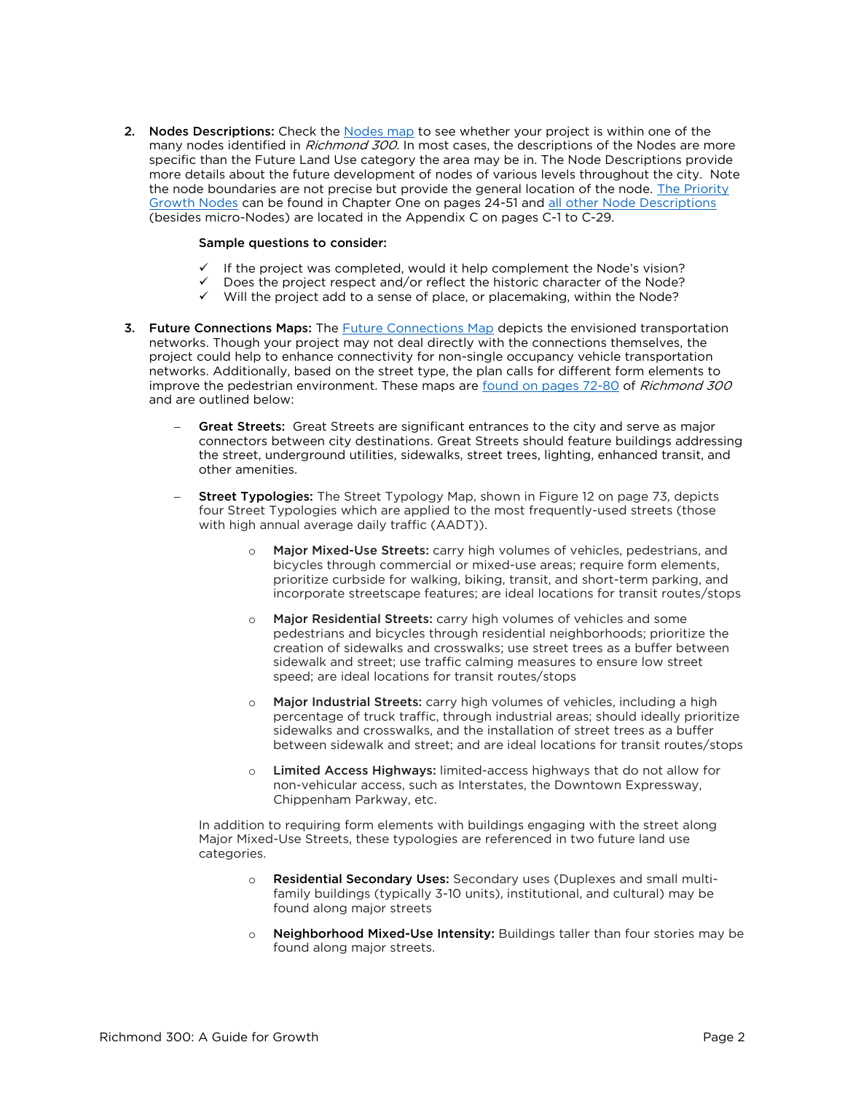2. Nodes Descriptions: Check the [Nodes map](https://www.arcgis.com/home/webmap/viewer.html?webmap=27fd3df5199f469f872eb28647e47c02&extent=-77.558,37.4951,-77.3579,37.5759) to see whether your project is within one of the many nodes identified in Richmond 300. In most cases, the descriptions of the Nodes are more specific than the Future Land Use category the area may be in. The Node Descriptions provide more details about the future development of nodes of various levels throughout the city. Note the node boundaries are not precise but provide the general location of the node. [The Priority](https://www.rva.gov/sites/default/files/2021-03/Nodes_0.pdf)  [Growth Nodes](https://www.rva.gov/sites/default/files/2021-03/Nodes_0.pdf) can be found in Chapter One on pages 24-51 and [all other Node Descriptions](https://www.rva.gov/sites/default/files/2021-03/Appendix%20C%20Nodes_1.pdf) (besides micro-Nodes) are located in the Appendix C on pages C-1 to C-29.

#### Sample questions to consider:

- If the project was completed, would it help complement the Node's vision?
- Does the project respect and/or reflect the historic character of the Node?
- $\checkmark$  Will the project add to a sense of place, or placemaking, within the Node?
- 3. [Future Connections Map](https://cor.maps.arcgis.com/home/webmap/viewer.html?webmap=a1164f73a1d84bd39968a55b212f0a65)s: The Future Connections Map depicts the envisioned transportation networks. Though your project may not deal directly with the connections themselves, the project could help to enhance connectivity for non-single occupancy vehicle transportation networks. Additionally, based on the street type, the plan calls for different form elements to improve the pedestrian environment. These maps are [found on pages 72-80](https://www.rva.gov/sites/default/files/2021-03/Future%20Connections.pdf) of Richmond 300 and are outlined below:
	- Great Streets: Great Streets are significant entrances to the city and serve as major connectors between city destinations. Great Streets should feature buildings addressing the street, underground utilities, sidewalks, street trees, lighting, enhanced transit, and other amenities.
	- Street Typologies: The Street Typology Map, shown in Figure 12 on page 73, depicts four Street Typologies which are applied to the most frequently-used streets (those with high annual average daily traffic (AADT)).
		- o Major Mixed-Use Streets: carry high volumes of vehicles, pedestrians, and bicycles through commercial or mixed-use areas; require form elements, prioritize curbside for walking, biking, transit, and short-term parking, and incorporate streetscape features; are ideal locations for transit routes/stops
		- Major Residential Streets: carry high volumes of vehicles and some pedestrians and bicycles through residential neighborhoods; prioritize the creation of sidewalks and crosswalks; use street trees as a buffer between sidewalk and street; use traffic calming measures to ensure low street speed; are ideal locations for transit routes/stops
		- o Major Industrial Streets: carry high volumes of vehicles, including a high percentage of truck traffic, through industrial areas; should ideally prioritize sidewalks and crosswalks, and the installation of street trees as a buffer between sidewalk and street; and are ideal locations for transit routes/stops
		- o Limited Access Highways: limited-access highways that do not allow for non-vehicular access, such as Interstates, the Downtown Expressway, Chippenham Parkway, etc.

In addition to requiring form elements with buildings engaging with the street along Major Mixed-Use Streets, these typologies are referenced in two future land use categories.

- o Residential Secondary Uses: Secondary uses (Duplexes and small multifamily buildings (typically 3-10 units), institutional, and cultural) may be found along major streets
- o Neighborhood Mixed-Use Intensity: Buildings taller than four stories may be found along major streets.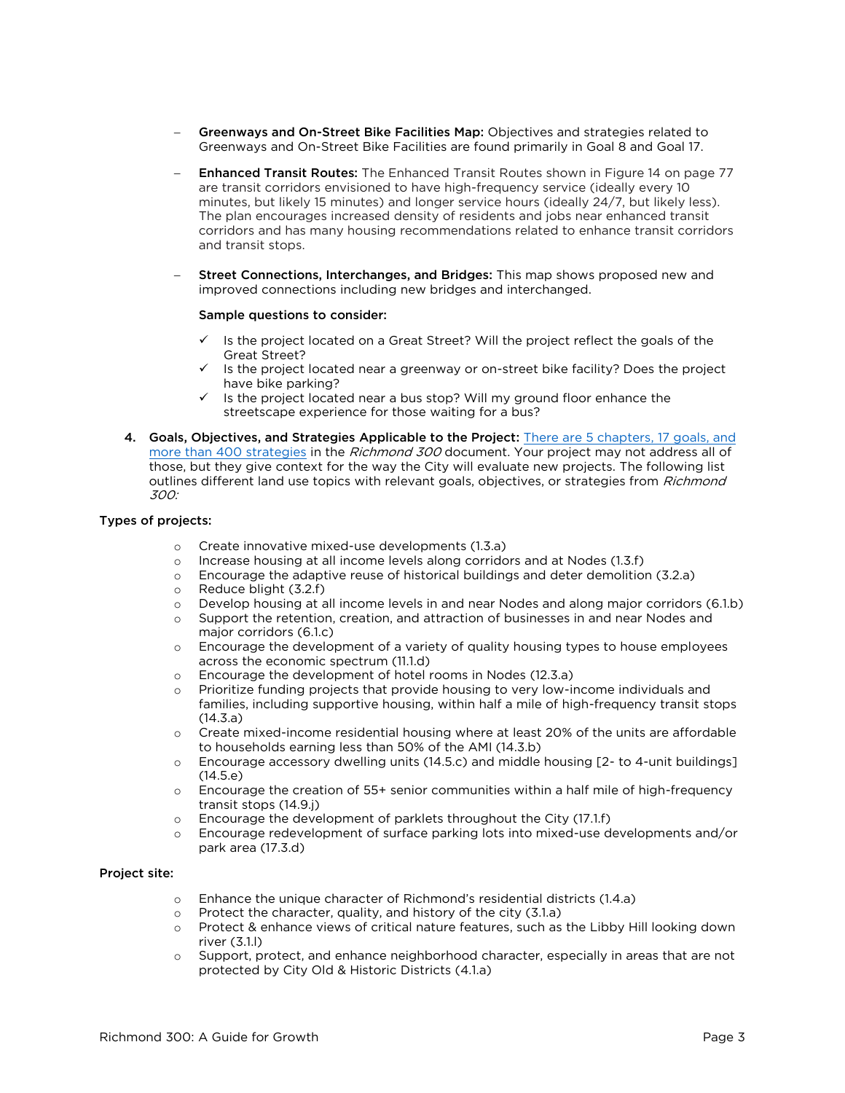- Greenways and On-Street Bike Facilities Map: Objectives and strategies related to Greenways and On-Street Bike Facilities are found primarily in Goal 8 and Goal 17.
- Enhanced Transit Routes: The Enhanced Transit Routes shown in Figure 14 on page 77 are transit corridors envisioned to have high-frequency service (ideally every 10 minutes, but likely 15 minutes) and longer service hours (ideally 24/7, but likely less). The plan encourages increased density of residents and jobs near enhanced transit corridors and has many housing recommendations related to enhance transit corridors and transit stops.
- Street Connections, Interchanges, and Bridges: This map shows proposed new and improved connections including new bridges and interchanged.

#### Sample questions to consider:

- $\checkmark$  Is the project located on a Great Street? Will the project reflect the goals of the Great Street?
- $\checkmark$  Is the project located near a greenway or on-street bike facility? Does the project have bike parking?
- $\checkmark$  Is the project located near a bus stop? Will my ground floor enhance the streetscape experience for those waiting for a bus?
- 4. Goals, Objectives, and Strategies Applicable to the Project: [There are 5 chapters, 17 goals,](https://www.rva.gov/sites/default/files/2021-03/R300_Adopted_210331_0.pdf) and [more than 400 strategies](https://www.rva.gov/sites/default/files/2021-03/R300_Adopted_210331_0.pdf) in the *Richmond 300* document. Your project may not address all of those, but they give context for the way the City will evaluate new projects. The following list outlines different land use topics with relevant goals, objectives, or strategies from *Richmond* 300:

#### Types of projects:

- o Create innovative mixed-use developments (1.3.a)
- o Increase housing at all income levels along corridors and at Nodes (1.3.f)
- o Encourage the adaptive reuse of historical buildings and deter demolition (3.2.a)
- o Reduce blight (3.2.f)
- o Develop housing at all income levels in and near Nodes and along major corridors (6.1.b)
- o Support the retention, creation, and attraction of businesses in and near Nodes and major corridors (6.1.c)
- o Encourage the development of a variety of quality housing types to house employees across the economic spectrum (11.1.d)
- o Encourage the development of hotel rooms in Nodes (12.3.a)
- o Prioritize funding projects that provide housing to very low-income individuals and families, including supportive housing, within half a mile of high-frequency transit stops  $(14.3.a)$
- $\circ$  Create mixed-income residential housing where at least 20% of the units are affordable to households earning less than 50% of the AMI (14.3.b)
- $\circ$  Encourage accessory dwelling units (14.5.c) and middle housing [2- to 4-unit buildings]  $(14.5.e)$
- o Encourage the creation of 55+ senior communities within a half mile of high-frequency transit stops (14.9.j)
- o Encourage the development of parklets throughout the City (17.1.f)
- o Encourage redevelopment of surface parking lots into mixed-use developments and/or park area (17.3.d)

#### Project site:

- o Enhance the unique character of Richmond's residential districts (1.4.a)
- o Protect the character, quality, and history of the city (3.1.a)
- o Protect & enhance views of critical nature features, such as the Libby Hill looking down river (3.1.l)
- o Support, protect, and enhance neighborhood character, especially in areas that are not protected by City Old & Historic Districts (4.1.a)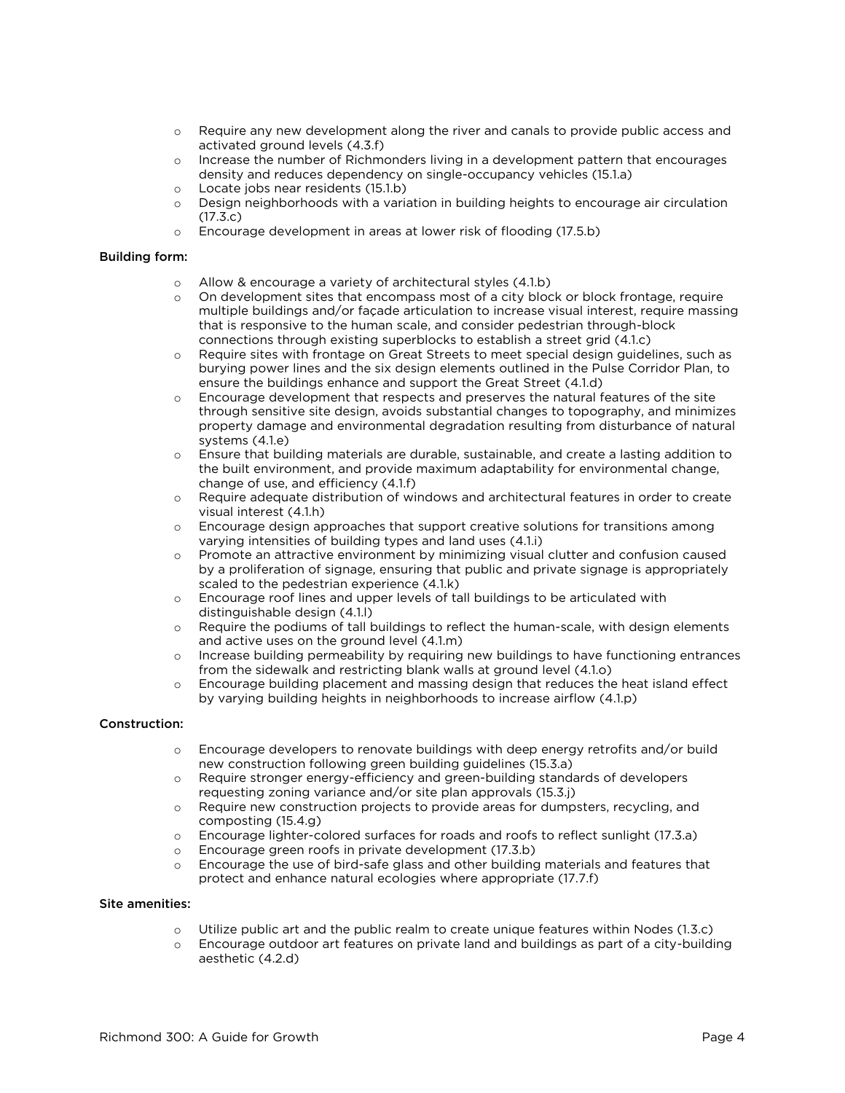- o Require any new development along the river and canals to provide public access and activated ground levels (4.3.f)
- o Increase the number of Richmonders living in a development pattern that encourages density and reduces dependency on single-occupancy vehicles (15.1.a)
- o Locate jobs near residents (15.1.b)
- o Design neighborhoods with a variation in building heights to encourage air circulation (17.3.c)
- o Encourage development in areas at lower risk of flooding (17.5.b)

#### Building form:

- o Allow & encourage a variety of architectural styles (4.1.b)
- o On development sites that encompass most of a city block or block frontage, require multiple buildings and/or façade articulation to increase visual interest, require massing that is responsive to the human scale, and consider pedestrian through-block connections through existing superblocks to establish a street grid (4.1.c)
- o Require sites with frontage on Great Streets to meet special design guidelines, such as burying power lines and the six design elements outlined in the Pulse Corridor Plan, to ensure the buildings enhance and support the Great Street (4.1.d)
- o Encourage development that respects and preserves the natural features of the site through sensitive site design, avoids substantial changes to topography, and minimizes property damage and environmental degradation resulting from disturbance of natural systems (4.1.e)
- o Ensure that building materials are durable, sustainable, and create a lasting addition to the built environment, and provide maximum adaptability for environmental change, change of use, and efficiency (4.1.f)
- o Require adequate distribution of windows and architectural features in order to create visual interest (4.1.h)
- o Encourage design approaches that support creative solutions for transitions among varying intensities of building types and land uses (4.1.i)
- o Promote an attractive environment by minimizing visual clutter and confusion caused by a proliferation of signage, ensuring that public and private signage is appropriately scaled to the pedestrian experience (4.1.k)
- o Encourage roof lines and upper levels of tall buildings to be articulated with distinguishable design (4.1.l)
- o Require the podiums of tall buildings to reflect the human-scale, with design elements and active uses on the ground level (4.1.m)
- o Increase building permeability by requiring new buildings to have functioning entrances from the sidewalk and restricting blank walls at ground level (4.1.o)
- o Encourage building placement and massing design that reduces the heat island effect by varying building heights in neighborhoods to increase airflow (4.1.p)

#### Construction:

- $\circ$  Encourage developers to renovate buildings with deep energy retrofits and/or build new construction following green building guidelines (15.3.a)
- o Require stronger energy-efficiency and green-building standards of developers requesting zoning variance and/or site plan approvals (15.3.j)
- o Require new construction projects to provide areas for dumpsters, recycling, and composting (15.4.g)
- o Encourage lighter-colored surfaces for roads and roofs to reflect sunlight (17.3.a)
- o Encourage green roofs in private development (17.3.b)
- o Encourage the use of bird-safe glass and other building materials and features that protect and enhance natural ecologies where appropriate (17.7.f)

#### Site amenities:

- $\circ$  Utilize public art and the public realm to create unique features within Nodes (1.3.c)
- o Encourage outdoor art features on private land and buildings as part of a city-building aesthetic (4.2.d)